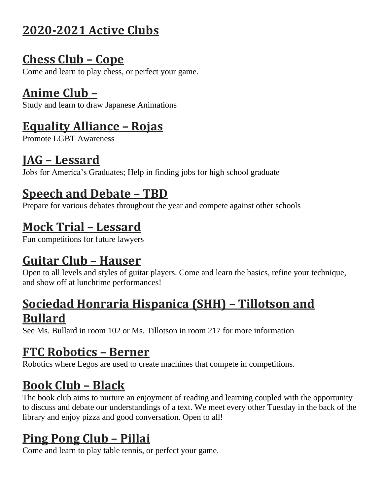## **2020-2021 Active Clubs**

# **Chess Club – Cope**

Come and learn to play chess, or perfect your game.

## **Anime Club –**

Study and learn to draw Japanese Animations

## **Equality Alliance – Rojas**

Promote LGBT Awareness

## **JAG – Lessard**

Jobs for America's Graduates; Help in finding jobs for high school graduate

# **Speech and Debate – TBD**

Prepare for various debates throughout the year and compete against other schools

# **Mock Trial – Lessard**

Fun competitions for future lawyers

# **Guitar Club – Hauser**

Open to all levels and styles of guitar players. Come and learn the basics, refine your technique, and show off at lunchtime performances!

#### **Sociedad Honraria Hispanica (SHH) – Tillotson and Bullard**

See Ms. Bullard in room 102 or Ms. Tillotson in room 217 for more information

## **FTC Robotics – Berner**

Robotics where Legos are used to create machines that compete in competitions.

# **Book Club – Black**

The book club aims to nurture an enjoyment of reading and learning coupled with the opportunity to discuss and debate our understandings of a text. We meet every other Tuesday in the back of the library and enjoy pizza and good conversation. Open to all!

## **Ping Pong Club – Pillai**

Come and learn to play table tennis, or perfect your game.